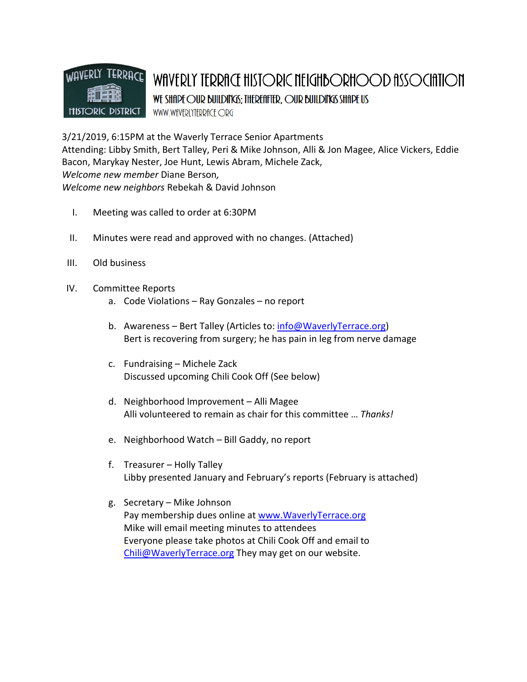

3/21/2019, 6:15PM at the Waverly Terrace Senior Apartments

Attending: Libby Smith, Bert Talley, Peri & Mike Johnson, Alli & Jon Magee, Alice Vickers, Eddie Bacon, Marykay Nester, Joe Hunt, Lewis Abram, Michele Zack, Welcome new member Diane Berson, Welcome new neighbors Rebekah & David Johnson

- I. Meeting was called to order at 6:30PM
- II. Minutes were read and approved with no changes. (Attached)
- III. Old business
- IV. Committee Reports
	- a. Code Violations Ray Gonzales no report
	- b. Awareness Bert Talley (Articles to: info@WaverlyTerrace.org) Bert is recovering from surgery; he has pain in leg from nerve damage
	- c. Fundraising Michele Zack Discussed upcoming Chili Cook Off (See below)
	- d. Neighborhood Improvement Alli Magee Alli volunteered to remain as chair for this committee … Thanks!
	- e. Neighborhood Watch Bill Gaddy, no report
	- f. Treasurer Holly Talley Libby presented January and February's reports (February is attached)
	- g. Secretary Mike Johnson Pay membership dues online at www.WaverlyTerrace.org Mike will email meeting minutes to attendees Everyone please take photos at Chili Cook Off and email to Chili@WaverlyTerrace.org They may get on our website.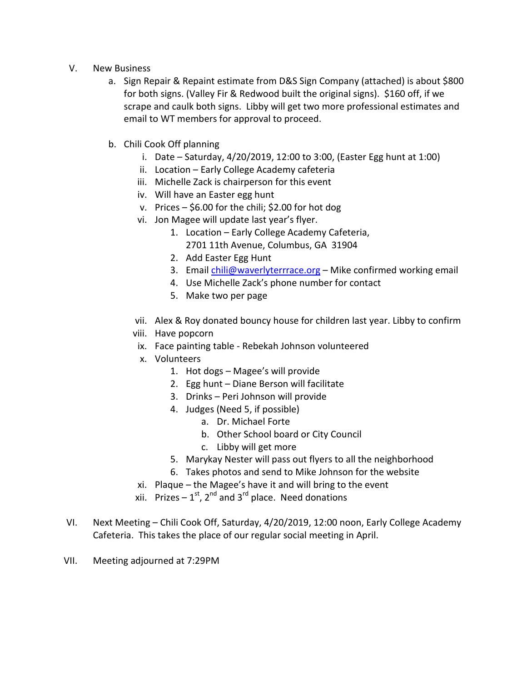- V. New Business
	- a. Sign Repair & Repaint estimate from D&S Sign Company (attached) is about \$800 for both signs. (Valley Fir & Redwood built the original signs). \$160 off, if we scrape and caulk both signs. Libby will get two more professional estimates and email to WT members for approval to proceed.
	- b. Chili Cook Off planning
		- i. Date Saturday, 4/20/2019, 12:00 to 3:00, (Easter Egg hunt at 1:00)
		- ii. Location Early College Academy cafeteria
		- iii. Michelle Zack is chairperson for this event
		- iv. Will have an Easter egg hunt
		- v. Prices \$6.00 for the chili; \$2.00 for hot dog
		- vi. Jon Magee will update last year's flyer.
			- 1. Location Early College Academy Cafeteria, 2701 11th Avenue, Columbus, GA 31904
			- 2. Add Easter Egg Hunt
			- 3. Email chili@waverlyterrrace.org Mike confirmed working email
			- 4. Use Michelle Zack's phone number for contact
			- 5. Make two per page
		- vii. Alex & Roy donated bouncy house for children last year. Libby to confirm
		- viii. Have popcorn
		- ix. Face painting table Rebekah Johnson volunteered
		- x. Volunteers
			- 1. Hot dogs Magee's will provide
			- 2. Egg hunt Diane Berson will facilitate
			- 3. Drinks Peri Johnson will provide
			- 4. Judges (Need 5, if possible)
				- a. Dr. Michael Forte
				- b. Other School board or City Council
				- c. Libby will get more
			- 5. Marykay Nester will pass out flyers to all the neighborhood
			- 6. Takes photos and send to Mike Johnson for the website
		- xi. Plaque the Magee's have it and will bring to the event
		- xii. Prizes  $-1^{st}$ , 2<sup>nd</sup> and 3<sup>rd</sup> place. Need donations
- VI. Next Meeting Chili Cook Off, Saturday, 4/20/2019, 12:00 noon, Early College Academy Cafeteria. This takes the place of our regular social meeting in April.
- VII. Meeting adjourned at 7:29PM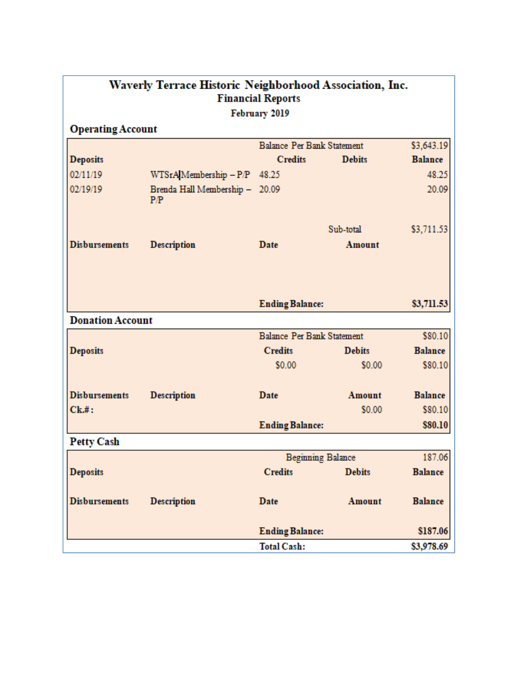| Waverly Terrace Historic Neighborhood Association, Inc.<br><b>Financial Reports</b><br>February 2019 |                                       |                                   |               |                |  |  |  |  |
|------------------------------------------------------------------------------------------------------|---------------------------------------|-----------------------------------|---------------|----------------|--|--|--|--|
| <b>Operating Account</b>                                                                             |                                       |                                   |               |                |  |  |  |  |
|                                                                                                      |                                       | <b>Balance Per Bank Statement</b> |               | \$3,643.19     |  |  |  |  |
| <b>Deposits</b>                                                                                      |                                       | <b>Credits</b>                    | <b>Debits</b> | <b>Balance</b> |  |  |  |  |
| 02/11/19                                                                                             | WTSrAMembership - P/P 48.25           |                                   |               | 48.25          |  |  |  |  |
| 02/19/19                                                                                             | Brenda Hall Membership - 20.09<br>P/P |                                   |               | 20.09          |  |  |  |  |
|                                                                                                      |                                       |                                   | Sub-total     | \$3,711.53     |  |  |  |  |
| <b>Disbursements</b>                                                                                 | <b>Description</b>                    | Date                              | Amount        |                |  |  |  |  |
|                                                                                                      |                                       | <b>Ending Balance:</b>            |               | \$3,711.53     |  |  |  |  |
| <b>Donation Account</b>                                                                              |                                       |                                   |               |                |  |  |  |  |
|                                                                                                      |                                       | <b>Balance Per Bank Statement</b> | \$80.10       |                |  |  |  |  |
| <b>Deposits</b>                                                                                      |                                       | <b>Credits</b>                    | <b>Debits</b> | <b>Balance</b> |  |  |  |  |
|                                                                                                      |                                       | \$0.00                            | \$0.00        | \$80.10        |  |  |  |  |
|                                                                                                      |                                       |                                   |               |                |  |  |  |  |
| <b>Disbursements</b>                                                                                 | <b>Description</b>                    | Date                              | Amount        | <b>Balance</b> |  |  |  |  |
| $Ck$ .#:                                                                                             |                                       |                                   | \$0.00        | \$80.10        |  |  |  |  |
|                                                                                                      |                                       | <b>Ending Balance:</b>            |               | \$80.10        |  |  |  |  |
| <b>Petty Cash</b>                                                                                    |                                       |                                   |               |                |  |  |  |  |
|                                                                                                      |                                       | <b>Beginning Balance</b>          | 187.06        |                |  |  |  |  |
| <b>Deposits</b>                                                                                      |                                       | <b>Credits</b>                    | <b>Debits</b> | <b>Balance</b> |  |  |  |  |
| <b>Disbursements</b>                                                                                 | <b>Description</b>                    | Date                              | Amount        | <b>Balance</b> |  |  |  |  |
|                                                                                                      |                                       | <b>Ending Balance:</b>            | \$187.06      |                |  |  |  |  |
|                                                                                                      |                                       | <b>Total Cash:</b>                |               | \$3,978.69     |  |  |  |  |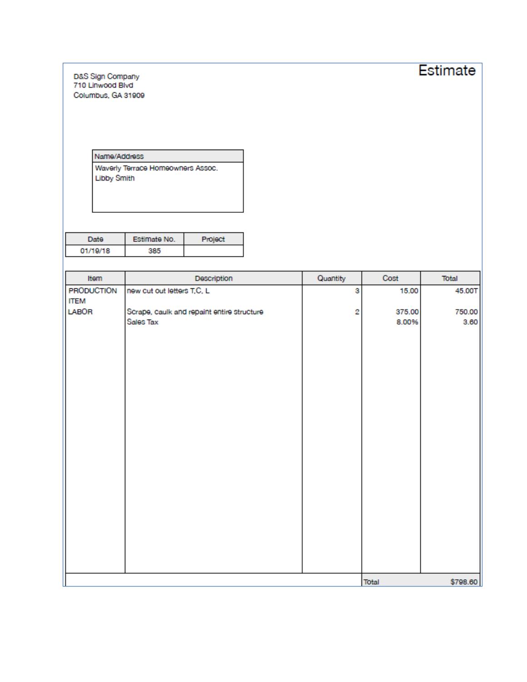# Estimate

D&S Sign Company<br>710 Linwood Blvd Columbus, GA 31909

> Name/Address Waverly Terrace Homeowners Assoc. Libby Smith

| Dato     | Estimate No. | Project |
|----------|--------------|---------|
| 01/19/18 | 10 F         |         |

| Item              | Description                                | Quantity | Cost     | Total  |
|-------------------|--------------------------------------------|----------|----------|--------|
| <b>PRODUCTION</b> | new cut out letters T,C, L                 | 3        | 15.00    | 45.00T |
| <b>ITEM</b>       |                                            |          |          |        |
| <b>LABOR</b>      | Scrape, caulk and repaint entire structure | 2        | 375.00   | 750.00 |
|                   | Sales Tax                                  |          | 8.00%    | 3.60   |
|                   |                                            |          |          |        |
|                   |                                            |          |          |        |
|                   |                                            |          |          |        |
|                   |                                            |          |          |        |
|                   |                                            |          |          |        |
|                   |                                            |          |          |        |
|                   |                                            |          |          |        |
|                   |                                            |          |          |        |
|                   |                                            |          |          |        |
|                   |                                            |          |          |        |
|                   |                                            |          |          |        |
|                   |                                            |          |          |        |
|                   |                                            |          |          |        |
|                   |                                            |          |          |        |
|                   |                                            |          |          |        |
|                   |                                            |          |          |        |
|                   |                                            |          |          |        |
|                   |                                            |          |          |        |
|                   |                                            |          |          |        |
|                   |                                            | Total    | \$798.60 |        |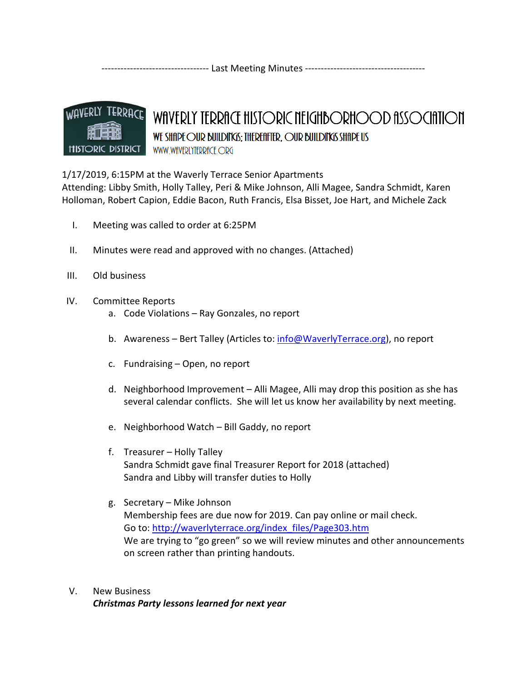---------------------------------- Last Meeting Minutes --------------------------------------



1/17/2019, 6:15PM at the Waverly Terrace Senior Apartments Attending: Libby Smith, Holly Talley, Peri & Mike Johnson, Alli Magee, Sandra Schmidt, Karen Holloman, Robert Capion, Eddie Bacon, Ruth Francis, Elsa Bisset, Joe Hart, and Michele Zack

- I. Meeting was called to order at 6:25PM
- II. Minutes were read and approved with no changes. (Attached)
- III. Old business
- IV. Committee Reports
	- a. Code Violations Ray Gonzales, no report
	- b. Awareness Bert Talley (Articles to: info@WaverlyTerrace.org), no report
	- c. Fundraising Open, no report
	- d. Neighborhood Improvement Alli Magee, Alli may drop this position as she has several calendar conflicts. She will let us know her availability by next meeting.
	- e. Neighborhood Watch Bill Gaddy, no report
	- f. Treasurer Holly Talley Sandra Schmidt gave final Treasurer Report for 2018 (attached) Sandra and Libby will transfer duties to Holly
	- g. Secretary Mike Johnson Membership fees are due now for 2019. Can pay online or mail check. Go to: http://waverlyterrace.org/index\_files/Page303.htm We are trying to "go green" so we will review minutes and other announcements on screen rather than printing handouts.
- V. New Business Christmas Party lessons learned for next year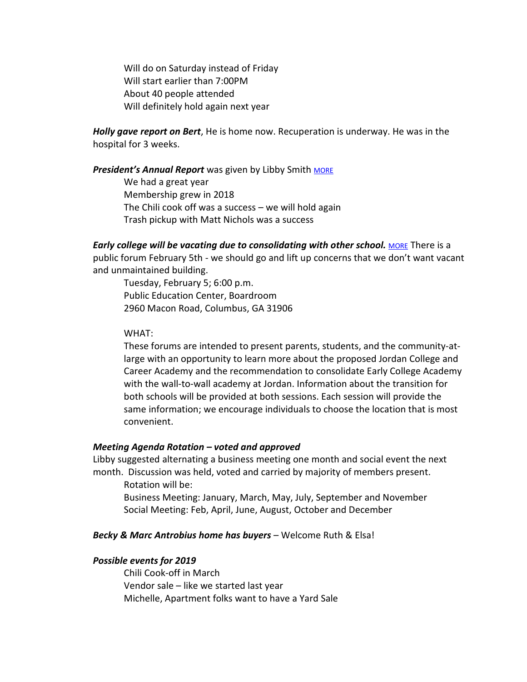Will do on Saturday instead of Friday Will start earlier than 7:00PM About 40 people attended Will definitely hold again next year

Holly gave report on Bert, He is home now. Recuperation is underway. He was in the hospital for 3 weeks.

President's Annual Report was given by Libby Smith MORE

We had a great year Membership grew in 2018 The Chili cook off was a success – we will hold again Trash pickup with Matt Nichols was a success

**Early college will be vacating due to consolidating with other school.** MORE There is a public forum February 5th - we should go and lift up concerns that we don't want vacant and unmaintained building.

Tuesday, February 5; 6:00 p.m. Public Education Center, Boardroom 2960 Macon Road, Columbus, GA 31906

#### WHAT:

These forums are intended to present parents, students, and the community-atlarge with an opportunity to learn more about the proposed Jordan College and Career Academy and the recommendation to consolidate Early College Academy with the wall-to-wall academy at Jordan. Information about the transition for both schools will be provided at both sessions. Each session will provide the same information; we encourage individuals to choose the location that is most convenient.

## Meeting Agenda Rotation – voted and approved

Libby suggested alternating a business meeting one month and social event the next month. Discussion was held, voted and carried by majority of members present.

Rotation will be:

Business Meeting: January, March, May, July, September and November Social Meeting: Feb, April, June, August, October and December

## Becky & Marc Antrobius home has buyers - Welcome Ruth & Elsa!

#### Possible events for 2019

Chili Cook-off in March Vendor sale – like we started last year Michelle, Apartment folks want to have a Yard Sale